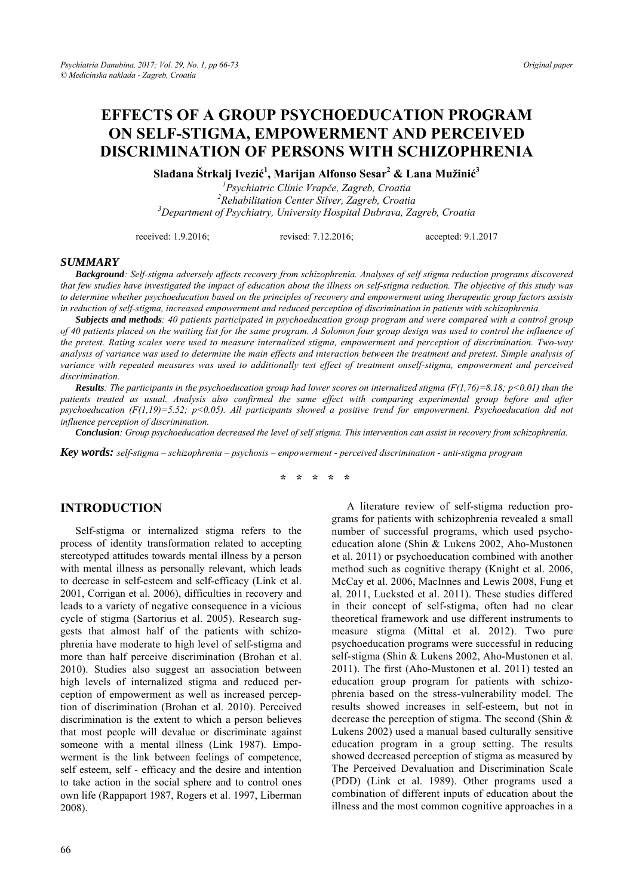# **EFFECTS OF A GROUP PSYCHOEDUCATION PROGRAM ON SELF-STIGMA, EMPOWERMENT AND PERCEIVED DISCRIMINATION OF PERSONS WITH SCHIZOPHRENIA**

**Slađana Štrkalj Ivezić 1 , Marijan Alfonso Sesar2 & Lana Mužinić 3** 

*1 Psychiatric Clinic Vrapče, Zagreb, Croatia 2 Rehabilitation Center Silver, Zagreb, Croatia 3 Department of Psychiatry, University Hospital Dubrava, Zagreb, Croatia* 

received: 1.9.2016; revised: 7.12.2016; accepted: 9.1.2017

#### *SUMMARY*

*Background: Self-stigma adversely affects recovery from schizophrenia. Analyses of self stigma reduction programs discovered that few studies have investigated the impact of education about the illness on self-stigma reduction. The objective of this study was to determine whether psychoeducation based on the principles of recovery and empowerment using therapeutic group factors assists in reduction of self-stigma, increased empowerment and reduced perception of discrimination in patients with schizophrenia.* 

*Subjects and methods: 40 patients participated in psychoeducation group program and were compared with a control group of 40 patients placed on the waiting list for the same program. A Solomon four group design was used to control the influence of the pretest. Rating scales were used to measure internalized stigma, empowerment and perception of discrimination. Two-way analysis of variance was used to determine the main effects and interaction between the treatment and pretest. Simple analysis of variance with repeated measures was used to additionally test effect of treatment onself-stigma, empowerment and perceived discrimination.* 

**Results***: The participants in the psychoeducation group had lower scores on internalized stigma (F(1,76)=8.18; p<0.01) than the patients treated as usual. Analysis also confirmed the same effect with comparing experimental group before and after psychoeducation (F(1,19)=5.52; p<0.05). All participants showed a positive trend for empowerment. Psychoeducation did not influence perception of discrimination.* 

*Conclusion: Group psychoeducation decreased the level of self stigma. This intervention can assist in recovery from schizophrenia.* 

*Key words: self-stigma – schizophrenia – psychosis – empowerment - perceived discrimination - anti-stigma program* 

**\* \* \* \* \*** 

#### **INTRODUCTION**

Self-stigma or internalized stigma refers to the process of identity transformation related to accepting stereotyped attitudes towards mental illness by a person with mental illness as personally relevant, which leads to decrease in self-esteem and self-efficacy (Link et al. 2001, Corrigan et al. 2006), difficulties in recovery and leads to a variety of negative consequence in a vicious cycle of stigma (Sartorius et al. 2005). Research suggests that almost half of the patients with schizophrenia have moderate to high level of self-stigma and more than half perceive discrimination (Brohan et al. 2010). Studies also suggest an association between high levels of internalized stigma and reduced perception of empowerment as well as increased perception of discrimination (Brohan et al. 2010). Perceived discrimination is the extent to which a person believes that most people will devalue or discriminate against someone with a mental illness (Link 1987). Empowerment is the link between feelings of competence, self esteem, self - efficacy and the desire and intention to take action in the social sphere and to control ones own life (Rappaport 1987, Rogers et al. 1997, Liberman 2008).

grams for patients with schizophrenia revealed a small number of successful programs, which used psychoeducation alone (Shin & Lukens 2002, Aho-Mustonen et al. 2011) or psychoeducation combined with another method such as cognitive therapy (Knight et al. 2006, McCay et al. 2006, MacInnes and Lewis 2008, Fung et al. 2011, Lucksted et al. 2011). These studies differed in their concept of self-stigma, often had no clear theoretical framework and use different instruments to measure stigma (Mittal et al. 2012). Two pure psychoeducation programs were successful in reducing self-stigma (Shin & Lukens 2002, Aho-Mustonen et al. 2011). The first (Aho-Mustonen et al. 2011) tested an education group program for patients with schizophrenia based on the stress-vulnerability model. The results showed increases in self-esteem, but not in decrease the perception of stigma. The second (Shin & Lukens 2002) used a manual based culturally sensitive education program in a group setting. The results showed decreased perception of stigma as measured by The Perceived Devaluation and Discrimination Scale (PDD) (Link et al. 1989). Other programs used a combination of different inputs of education about the illness and the most common cognitive approaches in a

A literature review of self-stigma reduction pro-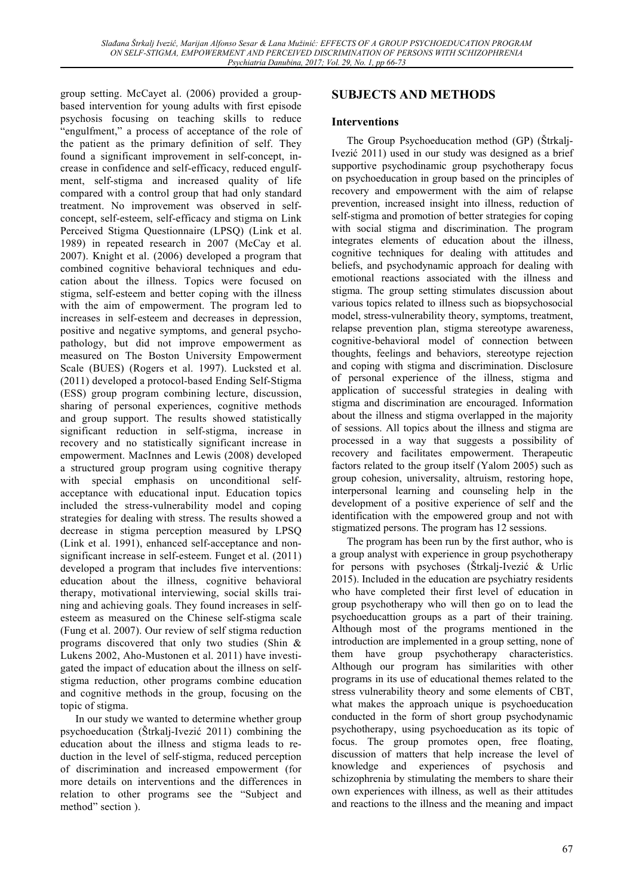group setting. McCayet al. (2006) provided a groupbased intervention for young adults with first episode psychosis focusing on teaching skills to reduce "engulfment," a process of acceptance of the role of the patient as the primary definition of self. They found a significant improvement in self-concept, increase in confidence and self-efficacy, reduced engulfment, self-stigma and increased quality of life compared with a control group that had only standard treatment. No improvement was observed in selfconcept, self-esteem, self-efficacy and stigma on Link Perceived Stigma Questionnaire (LPSQ) (Link et al. 1989) in repeated research in 2007 (McCay et al. 2007). Knight et al. (2006) developed a program that combined cognitive behavioral techniques and education about the illness. Topics were focused on stigma, self-esteem and better coping with the illness with the aim of empowerment. The program led to increases in self-esteem and decreases in depression, positive and negative symptoms, and general psychopathology, but did not improve empowerment as measured on The Boston University Empowerment Scale (BUES) (Rogers et al. 1997). Lucksted et al. (2011) developed a protocol-based Ending Self-Stigma (ESS) group program combining lecture, discussion, sharing of personal experiences, cognitive methods and group support. The results showed statistically significant reduction in self-stigma, increase in recovery and no statistically significant increase in empowerment. MacInnes and Lewis (2008) developed a structured group program using cognitive therapy with special emphasis on unconditional selfacceptance with educational input. Education topics included the stress-vulnerability model and coping strategies for dealing with stress. The results showed a decrease in stigma perception measured by LPSQ (Link et al. 1991), enhanced self-acceptance and nonsignificant increase in self-esteem. Funget et al. (2011) developed a program that includes five interventions: education about the illness, cognitive behavioral therapy, motivational interviewing, social skills training and achieving goals. They found increases in selfesteem as measured on the Chinese self-stigma scale (Fung et al. 2007). Our review of self stigma reduction programs discovered that only two studies (Shin & Lukens 2002, Aho-Mustonen et al. 2011) have investigated the impact of education about the illness on selfstigma reduction, other programs combine education and cognitive methods in the group, focusing on the topic of stigma.

In our study we wanted to determine whether group psychoeducation (Štrkalj-Ivezić 2011) combining the education about the illness and stigma leads to reduction in the level of self-stigma, reduced perception of discrimination and increased empowerment (for more details on interventions and the differences in relation to other programs see the "Subject and method" section ).

## **SUBJECTS AND METHODS**

#### **Interventions**

The Group Psychoeducation method (GP) (Štrkalj-Ivezić 2011) used in our study was designed as a brief supportive psychodinamic group psychotherapy focus on psychoeducation in group based on the principles of recovery and empowerment with the aim of relapse prevention, increased insight into illness, reduction of self-stigma and promotion of better strategies for coping with social stigma and discrimination. The program integrates elements of education about the illness, cognitive techniques for dealing with attitudes and beliefs, and psychodynamic approach for dealing with emotional reactions associated with the illness and stigma. The group setting stimulates discussion about various topics related to illness such as biopsychosocial model, stress-vulnerability theory, symptoms, treatment, relapse prevention plan, stigma stereotype awareness, cognitive-behavioral model of connection between thoughts, feelings and behaviors, stereotype rejection and coping with stigma and discrimination. Disclosure of personal experience of the illness, stigma and application of successful strategies in dealing with stigma and discrimination are encouraged. Information about the illness and stigma overlapped in the majority of sessions. All topics about the illness and stigma are processed in a way that suggests a possibility of recovery and facilitates empowerment. Therapeutic factors related to the group itself (Yalom 2005) such as group cohesion, universality, altruism, restoring hope, interpersonal learning and counseling help in the development of a positive experience of self and the identification with the empowered group and not with stigmatized persons. The program has 12 sessions.

The program has been run by the first author, who is a group analyst with experience in group psychotherapy for persons with psychoses (Štrkalj-Ivezić & Urlic 2015). Included in the education are psychiatry residents who have completed their first level of education in group psychotherapy who will then go on to lead the psychoeducattion groups as a part of their training. Although most of the programs mentioned in the introduction are implemented in a group setting, none of them have group psychotherapy characteristics. Although our program has similarities with other programs in its use of educational themes related to the stress vulnerability theory and some elements of CBT, what makes the approach unique is psychoeducation conducted in the form of short group psychodynamic psychotherapy, using psychoeducation as its topic of focus. The group promotes open, free floating, discussion of matters that help increase the level of knowledge and experiences of psychosis and schizophrenia by stimulating the members to share their own experiences with illness, as well as their attitudes and reactions to the illness and the meaning and impact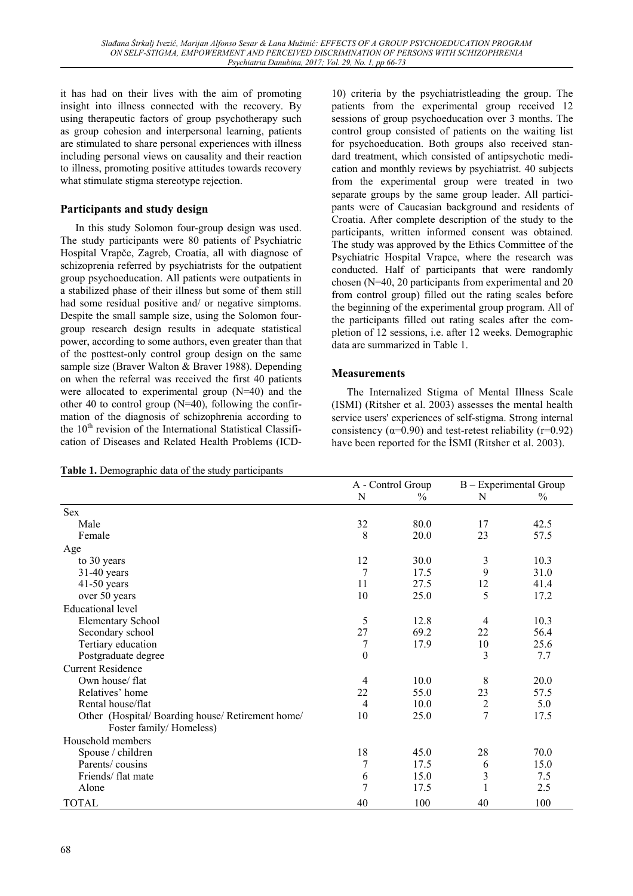it has had on their lives with the aim of promoting insight into illness connected with the recovery. By using therapeutic factors of group psychotherapy such as group cohesion and interpersonal learning, patients are stimulated to share personal experiences with illness including personal views on causality and their reaction to illness, promoting positive attitudes towards recovery what stimulate stigma stereotype rejection.

### **Participants and study design**

In this study Solomon four-group design was used. The study participants were 80 patients of Psychiatric Hospital Vrapče, Zagreb, Croatia, all with diagnose of schizoprenia referred by psychiatrists for the outpatient group psychoeducation. All patients were outpatients in a stabilized phase of their illness but some of them still had some residual positive and/ or negative simptoms. Despite the small sample size, using the Solomon fourgroup research design results in adequate statistical power, according to some authors, even greater than that of the posttest-only control group design on the same sample size (Braver Walton & Braver 1988). Depending on when the referral was received the first 40 patients were allocated to experimental group (N=40) and the other 40 to control group  $(N=40)$ , following the confirmation of the diagnosis of schizophrenia according to the  $10<sup>th</sup>$  revision of the International Statistical Classification of Diseases and Related Health Problems (ICD-

10) criteria by the psychiatristleading the group. The patients from the experimental group received 12 sessions of group psychoeducation over 3 months. The control group consisted of patients on the waiting list for psychoeducation. Both groups also received standard treatment, which consisted of antipsychotic medication and monthly reviews by psychiatrist. 40 subjects from the experimental group were treated in two separate groups by the same group leader. All participants were of Caucasian background and residents of Croatia. After complete description of the study to the participants, written informed consent was obtained. The study was approved by the Ethics Committee of the Psychiatric Hospital Vrapce, where the research was conducted. Half of participants that were randomly chosen (N=40, 20 participants from experimental and 20 from control group) filled out the rating scales before the beginning of the experimental group program. All of the participants filled out rating scales after the completion of 12 sessions, i.e. after 12 weeks. Demographic data are summarized in Table 1.

### **Measurements**

The Internalized Stigma of Mental Illness Scale (ISMI) (Ritsher et al. 2003) assesses the mental health service users' experiences of self-stigma. Strong internal consistency ( $\alpha$ =0.90) and test-retest reliability ( $r$ =0.92) have been reported for the İSMI (Ritsher et al. 2003).

|                                                 | A - Control Group |      | B - Experimental Group |      |  |
|-------------------------------------------------|-------------------|------|------------------------|------|--|
|                                                 | N                 | $\%$ | N                      | $\%$ |  |
| <b>Sex</b>                                      |                   |      |                        |      |  |
| Male                                            | 32                | 80.0 | 17                     | 42.5 |  |
| Female                                          | 8                 | 20.0 | 23                     | 57.5 |  |
| Age                                             |                   |      |                        |      |  |
| to 30 years                                     | 12                | 30.0 | $\sqrt{3}$             | 10.3 |  |
| 31-40 years                                     | 7                 | 17.5 | 9                      | 31.0 |  |
| $41-50$ years                                   | 11                | 27.5 | 12                     | 41.4 |  |
| over 50 years                                   | 10                | 25.0 | 5                      | 17.2 |  |
| <b>Educational level</b>                        |                   |      |                        |      |  |
| <b>Elementary School</b>                        | 5                 | 12.8 | 4                      | 10.3 |  |
| Secondary school                                | 27                | 69.2 | 22                     | 56.4 |  |
| Tertiary education                              | 7                 | 17.9 | $10\,$                 | 25.6 |  |
| Postgraduate degree                             | $\mathbf{0}$      |      | 3                      | 7.7  |  |
| <b>Current Residence</b>                        |                   |      |                        |      |  |
| Own house/ flat                                 | 4                 | 10.0 | 8                      | 20.0 |  |
| Relatives' home                                 | 22                | 55.0 | 23                     | 57.5 |  |
| Rental house/flat                               | $\overline{4}$    | 10.0 | $\overline{c}$         | 5.0  |  |
| Other (Hospital/Boarding house/Retirement home/ | 10                | 25.0 | $\overline{7}$         | 17.5 |  |
| Foster family/Homeless)                         |                   |      |                        |      |  |
| Household members                               |                   |      |                        |      |  |
| Spouse / children                               | 18                | 45.0 | 28                     | 70.0 |  |
| Parents/cousins                                 | 7                 | 17.5 | 6                      | 15.0 |  |
| Friends/flat mate                               | 6                 | 15.0 | 3                      | 7.5  |  |
| Alone                                           | $\overline{7}$    | 17.5 | 1                      | 2.5  |  |
| <b>TOTAL</b>                                    | 40                | 100  | 40                     | 100  |  |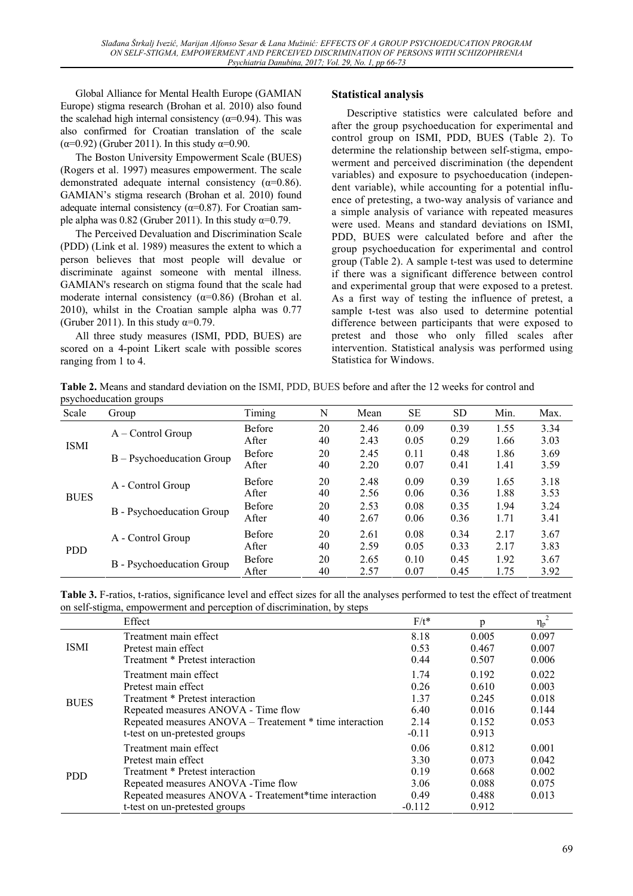Global Alliance for Mental Health Europe (GAMIAN Europe) stigma research (Brohan et al. 2010) also found the scalehad high internal consistency ( $\alpha$ =0.94). This was also confirmed for Croatian translation of the scale ( $\alpha$ =0.92) (Gruber 2011). In this study  $\alpha$ =0.90.

The Boston University Empowerment Scale (BUES) (Rogers et al. 1997) measures empowerment. The scale demonstrated adequate internal consistency  $(\alpha=0.86)$ . GAMIAN's stigma research (Brohan et al. 2010) found adequate internal consistency ( $\alpha$ =0.87). For Croatian sample alpha was 0.82 (Gruber 2011). In this study  $\alpha=0.79$ .

The Perceived Devaluation and Discrimination Scale (PDD) (Link et al. 1989) measures the extent to which a person believes that most people will devalue or discriminate against someone with mental illness. GAMIAN's research on stigma found that the scale had moderate internal consistency  $(\alpha=0.86)$  (Brohan et al. 2010), whilst in the Croatian sample alpha was 0.77 (Gruber 2011). In this study  $\alpha=0.79$ .

All three study measures (ISMI, PDD, BUES) are scored on a 4-point Likert scale with possible scores ranging from 1 to 4.

### **Statistical analysis**

Descriptive statistics were calculated before and after the group psychoeducation for experimental and control group on ISMI, PDD, BUES (Table 2). To determine the relationship between self-stigma, empowerment and perceived discrimination (the dependent variables) and exposure to psychoeducation (independent variable), while accounting for a potential influence of pretesting, a two-way analysis of variance and a simple analysis of variance with repeated measures were used. Means and standard deviations on ISMI, PDD, BUES were calculated before and after the group psychoeducation for experimental and control group (Table 2). A sample t-test was used to determine if there was a significant difference between control and experimental group that were exposed to a pretest. As a first way of testing the influence of pretest, a sample t-test was also used to determine potential difference between participants that were exposed to pretest and those who only filled scales after intervention. Statistical analysis was performed using Statistica for Windows.

**Table 2.** Means and standard deviation on the ISMI, PDD, BUES before and after the 12 weeks for control and psychoeducation groups

| Scale       | Group                     | Timing        | N  | Mean | SE   | <b>SD</b> | Min. | Max. |
|-------------|---------------------------|---------------|----|------|------|-----------|------|------|
| <b>ISMI</b> | $A - Control$ Group       | <b>Before</b> | 20 | 2.46 | 0.09 | 0.39      | 1.55 | 3.34 |
|             |                           | After         | 40 | 2.43 | 0.05 | 0.29      | 1.66 | 3.03 |
|             | B – Psychoeducation Group | <b>Before</b> | 20 | 2.45 | 0.11 | 0.48      | 1.86 | 3.69 |
|             |                           | After         | 40 | 2.20 | 0.07 | 0.41      | 1.41 | 3.59 |
| <b>BUES</b> | A - Control Group         | Before        | 20 | 2.48 | 0.09 | 0.39      | 1.65 | 3.18 |
|             |                           | After         | 40 | 2.56 | 0.06 | 0.36      | 1.88 | 3.53 |
|             | B - Psychoeducation Group | <b>Before</b> | 20 | 2.53 | 0.08 | 0.35      | 1.94 | 3.24 |
|             |                           | After         | 40 | 2.67 | 0.06 | 0.36      | 1.71 | 3.41 |
| <b>PDD</b>  | A - Control Group         | <b>Before</b> | 20 | 2.61 | 0.08 | 0.34      | 2.17 | 3.67 |
|             |                           | After         | 40 | 2.59 | 0.05 | 0.33      | 2.17 | 3.83 |
|             | B - Psychoeducation Group | <b>Before</b> | 20 | 2.65 | 0.10 | 0.45      | 1.92 | 3.67 |
|             |                           | After         | 40 | 2.57 | 0.07 | 0.45      | 1.75 | 3.92 |

**Table 3.** F-ratios, t-ratios, significance level and effect sizes for all the analyses performed to test the effect of treatment on self-stigma, empowerment and perception of discrimination, by steps

|             | Effect                                                  | $F/t^*$  | р     | $\eta_p$ |
|-------------|---------------------------------------------------------|----------|-------|----------|
| <b>ISMI</b> | Treatment main effect                                   | 8.18     | 0.005 | 0.097    |
|             | Pretest main effect                                     | 0.53     | 0.467 | 0.007    |
|             | Treatment * Pretest interaction                         | 0.44     | 0.507 | 0.006    |
|             | Treatment main effect                                   | 1.74     | 0.192 | 0.022    |
| <b>BUES</b> | Pretest main effect                                     | 0.26     | 0.610 | 0.003    |
|             | Treatment * Pretest interaction                         | 1.37     | 0.245 | 0.018    |
|             | Repeated measures ANOVA - Time flow                     | 6.40     | 0.016 | 0.144    |
|             | Repeated measures ANOVA - Treatement * time interaction | 2.14     | 0.152 | 0.053    |
|             | t-test on un-pretested groups                           | $-0.11$  | 0.913 |          |
| <b>PDD</b>  | Treatment main effect                                   | 0.06     | 0.812 | 0.001    |
|             | Pretest main effect                                     | 3.30     | 0.073 | 0.042    |
|             | Treatment * Pretest interaction                         | 0.19     | 0.668 | 0.002    |
|             | Repeated measures ANOVA -Time flow                      | 3.06     | 0.088 | 0.075    |
|             | Repeated measures ANOVA - Treatement*time interaction   | 0.49     | 0.488 | 0.013    |
|             | t-test on un-pretested groups                           | $-0.112$ | 0.912 |          |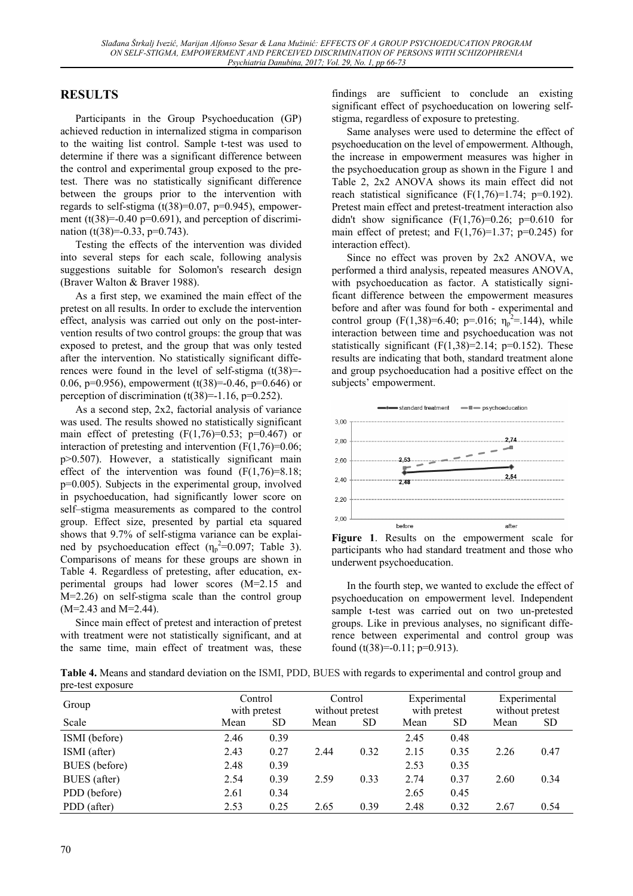### **RESULTS**

Participants in the Group Psychoeducation (GP) achieved reduction in internalized stigma in comparison to the waiting list control. Sample t-test was used to determine if there was a significant difference between the control and experimental group exposed to the pretest. There was no statistically significant difference between the groups prior to the intervention with regards to self-stigma  $(t(38)=0.07, p=0.945)$ , empowerment (t(38)=-0.40 p=0.691), and perception of discrimination (t(38)=-0.33, p=0.743).

Testing the effects of the intervention was divided into several steps for each scale, following analysis suggestions suitable for Solomon's research design (Braver Walton & Braver 1988).

As a first step, we examined the main effect of the pretest on all results. In order to exclude the intervention effect, analysis was carried out only on the post-intervention results of two control groups: the group that was exposed to pretest, and the group that was only tested after the intervention. No statistically significant differences were found in the level of self-stigma  $(t(38))$ = 0.06, p=0.956), empowerment (t(38)=-0.46, p=0.646) or perception of discrimination  $(t(38)=1.16, p=0.252)$ .

As a second step, 2x2, factorial analysis of variance was used. The results showed no statistically significant main effect of pretesting  $(F(1,76)=0.53; p=0.467)$  or interaction of pretesting and intervention  $(F(1,76)=0.06;$ p>0.507). However, a statistically significant main effect of the intervention was found  $(F(1,76)=8.18;$ p=0.005). Subjects in the experimental group, involved in psychoeducation, had significantly lower score on self–stigma measurements as compared to the control group. Effect size, presented by partial eta squared shows that 9.7% of self-stigma variance can be explained by psychoeducation effect  $(\eta_p^2=0.097;$  Table 3). Comparisons of means for these groups are shown in Table 4. Regardless of pretesting, after education, experimental groups had lower scores (M=2.15 and M=2.26) on self-stigma scale than the control group (M=2.43 and M=2.44).

Since main effect of pretest and interaction of pretest with treatment were not statistically significant, and at the same time, main effect of treatment was, these findings are sufficient to conclude an existing significant effect of psychoeducation on lowering selfstigma, regardless of exposure to pretesting.

Same analyses were used to determine the effect of psychoeducation on the level of empowerment. Although, the increase in empowerment measures was higher in the psychoeducation group as shown in the Figure 1 and Table 2, 2x2 ANOVA shows its main effect did not reach statistical significance  $(F(1,76)=1.74; p=0.192)$ . Pretest main effect and pretest-treatment interaction also didn't show significance  $(F(1,76)=0.26; p=0.610$  for main effect of pretest; and  $F(1,76)=1.37$ ; p=0.245) for interaction effect).

Since no effect was proven by 2x2 ANOVA, we performed a third analysis, repeated measures ANOVA, with psychoeducation as factor. A statistically significant difference between the empowerment measures before and after was found for both - experimental and control group (F(1,38)=6.40; p=.016;  $\eta_p^2 = 144$ ), while interaction between time and psychoeducation was not statistically significant  $(F(1,38)=2.14; p=0.152)$ . These results are indicating that both, standard treatment alone and group psychoeducation had a positive effect on the subjects' empowerment.



**Figure 1**. Results on the empowerment scale for participants who had standard treatment and those who underwent psychoeducation.

In the fourth step, we wanted to exclude the effect of psychoeducation on empowerment level. Independent sample t-test was carried out on two un-pretested groups. Like in previous analyses, no significant difference between experimental and control group was found  $(t(38)=0.11; p=0.913)$ .

**Table 4.** Means and standard deviation on the ISMI, PDD, BUES with regards to experimental and control group and pre-test exposure

| Group         | Control<br>with pretest |           | Control<br>without pretest |           | Experimental<br>with pretest |           | Experimental<br>without pretest |      |
|---------------|-------------------------|-----------|----------------------------|-----------|------------------------------|-----------|---------------------------------|------|
| Scale         | Mean                    | <b>SD</b> | Mean                       | <b>SD</b> | Mean                         | <b>SD</b> | Mean                            | SD.  |
| ISMI (before) | 2.46                    | 0.39      |                            |           | 2.45                         | 0.48      |                                 |      |
| ISMI (after)  | 2.43                    | 0.27      | 2.44                       | 0.32      | 2.15                         | 0.35      | 2.26                            | 0.47 |
| BUES (before) | 2.48                    | 0.39      |                            |           | 2.53                         | 0.35      |                                 |      |
| BUES (after)  | 2.54                    | 0.39      | 2.59                       | 0.33      | 2.74                         | 0.37      | 2.60                            | 0.34 |
| PDD (before)  | 2.61                    | 0.34      |                            |           | 2.65                         | 0.45      |                                 |      |
| PDD (after)   | 2.53                    | 0.25      | 2.65                       | 0.39      | 2.48                         | 0.32      | 2.67                            | 0.54 |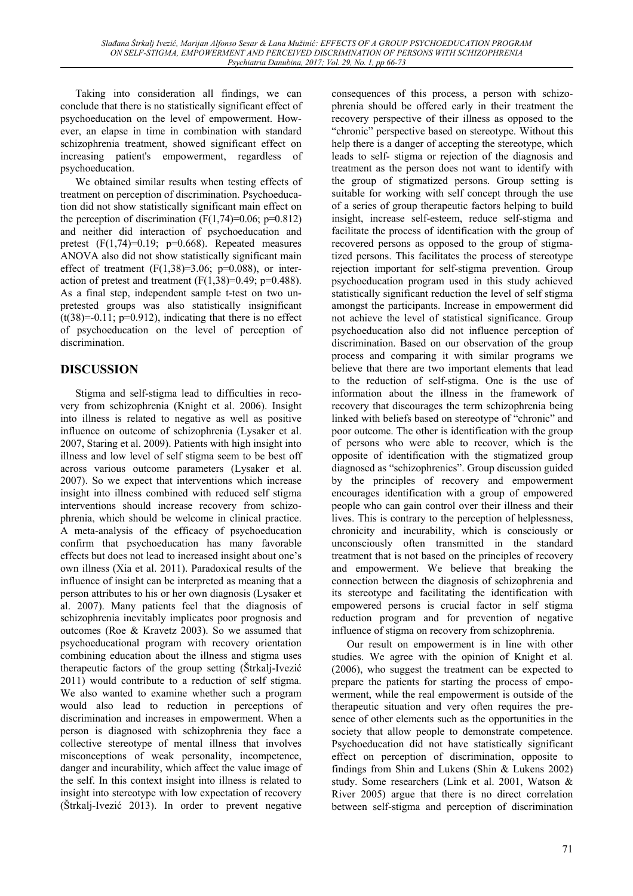Taking into consideration all findings, we can conclude that there is no statistically significant effect of psychoeducation on the level of empowerment. However, an elapse in time in combination with standard schizophrenia treatment, showed significant effect on increasing patient's empowerment, regardless of psychoeducation.

We obtained similar results when testing effects of treatment on perception of discrimination. Psychoeducation did not show statistically significant main effect on the perception of discrimination  $(F(1,74)=0.06; p=0.812)$ and neither did interaction of psychoeducation and pretest  $(F(1,74)=0.19; p=0.668)$ . Repeated measures ANOVA also did not show statistically significant main effect of treatment  $(F(1,38)=3.06; p=0.088)$ , or interaction of pretest and treatment  $(F(1.38)=0.49; p=0.488)$ . As a final step, independent sample t-test on two unpretested groups was also statistically insignificant  $(t(38)=0.11; p=0.912)$ , indicating that there is no effect of psychoeducation on the level of perception of discrimination.

## **DISCUSSION**

Stigma and self-stigma lead to difficulties in recovery from schizophrenia (Knight et al. 2006). Insight into illness is related to negative as well as positive influence on outcome of schizophrenia (Lysaker et al. 2007, Staring et al. 2009). Patients with high insight into illness and low level of self stigma seem to be best off across various outcome parameters (Lysaker et al. 2007). So we expect that interventions which increase insight into illness combined with reduced self stigma interventions should increase recovery from schizophrenia, which should be welcome in clinical practice. A meta-analysis of the efficacy of psychoeducation confirm that psychoeducation has many favorable effects but does not lead to increased insight about one's own illness (Xia et al. 2011). Paradoxical results of the influence of insight can be interpreted as meaning that a person attributes to his or her own diagnosis (Lysaker et al. 2007). Many patients feel that the diagnosis of schizophrenia inevitably implicates poor prognosis and outcomes (Roe & Kravetz 2003). So we assumed that psychoeducational program with recovery orientation combining education about the illness and stigma uses therapeutic factors of the group setting (Štrkalj-Ivezić 2011) would contribute to a reduction of self stigma. We also wanted to examine whether such a program would also lead to reduction in perceptions of discrimination and increases in empowerment. When a person is diagnosed with schizophrenia they face a collective stereotype of mental illness that involves misconceptions of weak personality, incompetence, danger and incurability, which affect the value image of the self. In this context insight into illness is related to insight into stereotype with low expectation of recovery (Štrkalj-Ivezić 2013). In order to prevent negative consequences of this process, a person with schizophrenia should be offered early in their treatment the recovery perspective of their illness as opposed to the "chronic" perspective based on stereotype. Without this help there is a danger of accepting the stereotype, which leads to self- stigma or rejection of the diagnosis and treatment as the person does not want to identify with the group of stigmatized persons. Group setting is suitable for working with self concept through the use of a series of group therapeutic factors helping to build insight, increase self-esteem, reduce self-stigma and facilitate the process of identification with the group of recovered persons as opposed to the group of stigmatized persons. This facilitates the process of stereotype rejection important for self-stigma prevention. Group psychoeducation program used in this study achieved statistically significant reduction the level of self stigma amongst the participants. Increase in empowerment did not achieve the level of statistical significance. Group psychoeducation also did not influence perception of discrimination. Based on our observation of the group process and comparing it with similar programs we believe that there are two important elements that lead to the reduction of self-stigma. One is the use of information about the illness in the framework of recovery that discourages the term schizophrenia being linked with beliefs based on stereotype of "chronic" and poor outcome. The other is identification with the group of persons who were able to recover, which is the opposite of identification with the stigmatized group diagnosed as "schizophrenics". Group discussion guided by the principles of recovery and empowerment encourages identification with a group of empowered people who can gain control over their illness and their lives. This is contrary to the perception of helplessness, chronicity and incurability, which is consciously or unconsciously often transmitted in the standard treatment that is not based on the principles of recovery and empowerment. We believe that breaking the connection between the diagnosis of schizophrenia and its stereotype and facilitating the identification with empowered persons is crucial factor in self stigma reduction program and for prevention of negative influence of stigma on recovery from schizophrenia.

Our result on empowerment is in line with other studies. We agree with the opinion of Knight et al. (2006), who suggest the treatment can be expected to prepare the patients for starting the process of empowerment, while the real empowerment is outside of the therapeutic situation and very often requires the presence of other elements such as the opportunities in the society that allow people to demonstrate competence. Psychoeducation did not have statistically significant effect on perception of discrimination, opposite to findings from Shin and Lukens (Shin & Lukens 2002) study. Some researchers (Link et al. 2001, Watson & River 2005) argue that there is no direct correlation between self-stigma and perception of discrimination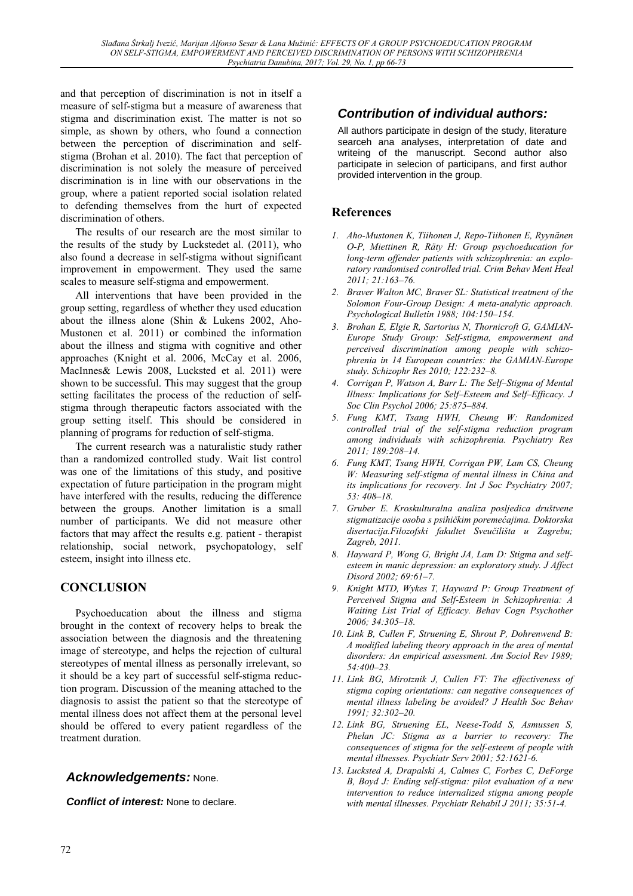and that perception of discrimination is not in itself a measure of self-stigma but a measure of awareness that stigma and discrimination exist. The matter is not so simple, as shown by others, who found a connection between the perception of discrimination and selfstigma (Brohan et al. 2010). The fact that perception of discrimination is not solely the measure of perceived discrimination is in line with our observations in the group, where a patient reported social isolation related to defending themselves from the hurt of expected discrimination of others.

The results of our research are the most similar to the results of the study by Luckstedet al. (2011), who also found a decrease in self-stigma without significant improvement in empowerment. They used the same scales to measure self-stigma and empowerment.

All interventions that have been provided in the group setting, regardless of whether they used education about the illness alone (Shin & Lukens 2002, Aho-Mustonen et al. 2011) or combined the information about the illness and stigma with cognitive and other approaches (Knight et al. 2006, McCay et al. 2006, MacInnes& Lewis 2008, Lucksted et al. 2011) were shown to be successful. This may suggest that the group setting facilitates the process of the reduction of selfstigma through therapeutic factors associated with the group setting itself. This should be considered in planning of programs for reduction of self-stigma.

The current research was a naturalistic study rather than a randomized controlled study. Wait list control was one of the limitations of this study, and positive expectation of future participation in the program might have interfered with the results, reducing the difference between the groups. Another limitation is a small number of participants. We did not measure other factors that may affect the results e.g. patient - therapist relationship, social network, psychopatology, self esteem, insight into illness etc.

### **CONCLUSION**

Psychoeducation about the illness and stigma brought in the context of recovery helps to break the association between the diagnosis and the threatening image of stereotype, and helps the rejection of cultural stereotypes of mental illness as personally irrelevant, so it should be a key part of successful self-stigma reduction program. Discussion of the meaning attached to the diagnosis to assist the patient so that the stereotype of mental illness does not affect them at the personal level should be offered to every patient regardless of the treatment duration.

### *Acknowledgements:* None.

*Conflict of interest:* None to declare.

### *Contribution of individual authors:*

All authors participate in design of the study, literature searceh ana analyses, interpretation of date and writeing of the manuscript. Second author also participate in selecion of participans, and first author provided intervention in the group.

### **References**

- *1. Aho-Mustonen K, Tiihonen J, Repo-Tiihonen E, Ryynänen O-P, Miettinen R, Räty H: Group psychoeducation for long-term offender patients with schizophrenia: an exploratory randomised controlled trial. Crim Behav Ment Heal 2011; 21:163–76.*
- *2. Braver Walton MC, Braver SL: Statistical treatment of the Solomon Four-Group Design: A meta-analytic approach. Psychological Bulletin 1988; 104:150–154.*
- *3. Brohan E, Elgie R, Sartorius N, Thornicroft G, GAMIAN-Europe Study Group: Self-stigma, empowerment and perceived discrimination among people with schizophrenia in 14 European countries: the GAMIAN-Europe study. Schizophr Res 2010; 122:232–8.*
- *4. Corrigan P, Watson A, Barr L: The Self–Stigma of Mental Illness: Implications for Self–Esteem and Self–Efficacy. J Soc Clin Psychol 2006; 25:875–884.*
- *5. Fung KMT, Tsang HWH, Cheung W: Randomized controlled trial of the self-stigma reduction program among individuals with schizophrenia. Psychiatry Res 2011; 189:208–14.*
- *6. Fung KMT, Tsang HWH, Corrigan PW, Lam CS, Cheung W: Measuring self-stigma of mental illness in China and its implications for recovery. Int J Soc Psychiatry 2007; 53: 408–18.*
- *7. Gruber E. Kroskulturalna analiza posljedica društvene stigmatizacije osoba s psihičkim poremećajima. Doktorska disertacija.Filozofski fakultet Sveučilišta u Zagrebu; Zagreb, 2011.*
- *8. Hayward P, Wong G, Bright JA, Lam D: Stigma and selfesteem in manic depression: an exploratory study. J Affect Disord 2002; 69:61–7.*
- *9. Knight MTD, Wykes T, Hayward P: Group Treatment of Perceived Stigma and Self-Esteem in Schizophrenia: A Waiting List Trial of Efficacy. Behav Cogn Psychother 2006; 34:305–18.*
- *10. Link B, Cullen F, Struening E, Shrout P, Dohrenwend B: A modified labeling theory approach in the area of mental disorders: An empirical assessment. Am Sociol Rev 1989; 54:400–23.*
- *11. Link BG, Mirotznik J, Cullen FT: The effectiveness of stigma coping orientations: can negative consequences of mental illness labeling be avoided? J Health Soc Behav 1991; 32:302–20.*
- *12. Link BG, Struening EL, Neese-Todd S, Asmussen S, Phelan JC: Stigma as a barrier to recovery: The consequences of stigma for the self-esteem of people with mental illnesses. Psychiatr Serv 2001; 52:1621-6.*
- *13. Lucksted A, Drapalski A, Calmes C, Forbes C, DeForge B, Boyd J: Ending self-stigma: pilot evaluation of a new intervention to reduce internalized stigma among people with mental illnesses. Psychiatr Rehabil J 2011; 35:51-4.*